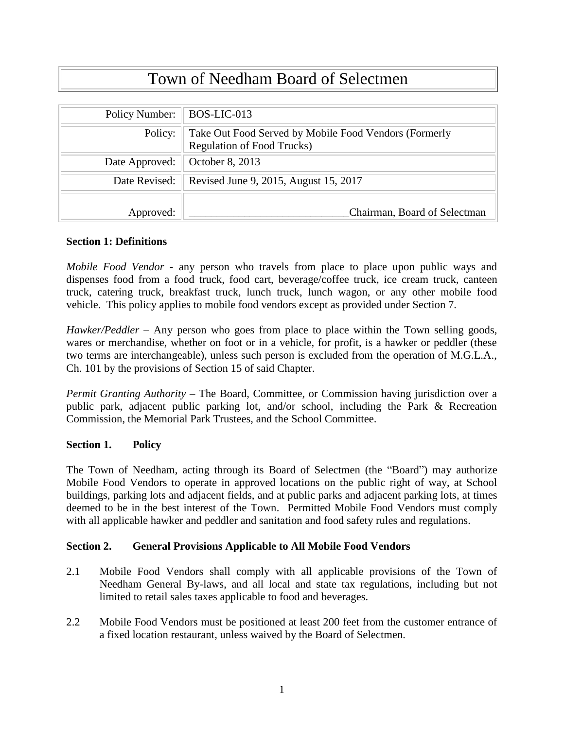# Town of Needham Board of Selectmen

| Policy Number: | BOS-LIC-013                                                                                |
|----------------|--------------------------------------------------------------------------------------------|
| Policy:        | Take Out Food Served by Mobile Food Vendors (Formerly<br><b>Regulation of Food Trucks)</b> |
| Date Approved: | October 8, 2013                                                                            |
| Date Revised:  | Revised June 9, 2015, August 15, 2017                                                      |
|                |                                                                                            |
| Approved:      | Chairman, Board of Selectman                                                               |

#### **Section 1: Definitions**

*Mobile Food Vendor* **-** any person who travels from place to place upon public ways and dispenses food from a food truck, food cart, beverage/coffee truck, ice cream truck, canteen truck, catering truck, breakfast truck, lunch truck, lunch wagon, or any other mobile food vehicle. This policy applies to mobile food vendors except as provided under Section 7.

*Hawker/Peddler* – Any person who goes from place to place within the Town selling goods, wares or merchandise, whether on foot or in a vehicle, for profit, is a hawker or peddler (these two terms are interchangeable), unless such person is excluded from the operation of M.G.L.A., Ch. 101 by the provisions of Section 15 of said Chapter.

*Permit Granting Authority* – The Board, Committee, or Commission having jurisdiction over a public park, adjacent public parking lot, and/or school, including the Park & Recreation Commission, the Memorial Park Trustees, and the School Committee.

#### **Section 1. Policy**

The Town of Needham, acting through its Board of Selectmen (the "Board") may authorize Mobile Food Vendors to operate in approved locations on the public right of way, at School buildings, parking lots and adjacent fields, and at public parks and adjacent parking lots, at times deemed to be in the best interest of the Town. Permitted Mobile Food Vendors must comply with all applicable hawker and peddler and sanitation and food safety rules and regulations.

#### **Section 2. General Provisions Applicable to All Mobile Food Vendors**

- 2.1 Mobile Food Vendors shall comply with all applicable provisions of the Town of Needham General By-laws, and all local and state tax regulations, including but not limited to retail sales taxes applicable to food and beverages.
- 2.2 Mobile Food Vendors must be positioned at least 200 feet from the customer entrance of a fixed location restaurant, unless waived by the Board of Selectmen.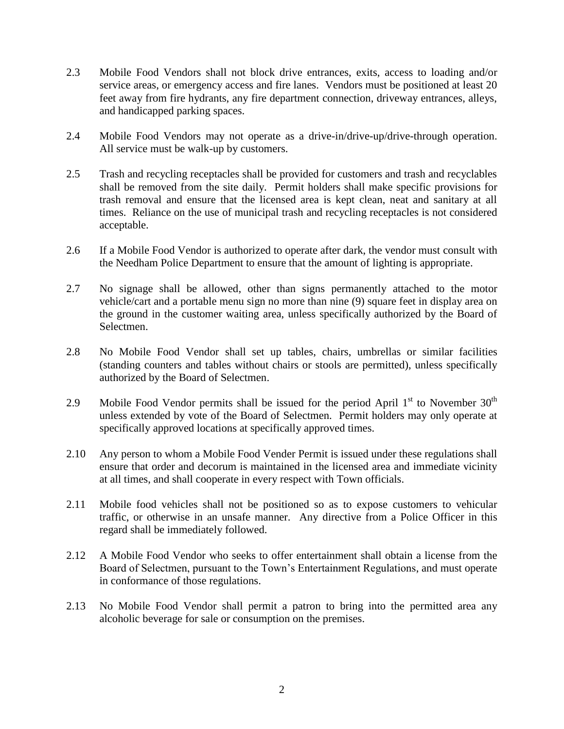- 2.3 Mobile Food Vendors shall not block drive entrances, exits, access to loading and/or service areas, or emergency access and fire lanes. Vendors must be positioned at least 20 feet away from fire hydrants, any fire department connection, driveway entrances, alleys, and handicapped parking spaces.
- 2.4 Mobile Food Vendors may not operate as a drive-in/drive-up/drive-through operation. All service must be walk-up by customers.
- 2.5 Trash and recycling receptacles shall be provided for customers and trash and recyclables shall be removed from the site daily. Permit holders shall make specific provisions for trash removal and ensure that the licensed area is kept clean, neat and sanitary at all times. Reliance on the use of municipal trash and recycling receptacles is not considered acceptable.
- 2.6 If a Mobile Food Vendor is authorized to operate after dark, the vendor must consult with the Needham Police Department to ensure that the amount of lighting is appropriate.
- 2.7 No signage shall be allowed, other than signs permanently attached to the motor vehicle/cart and a portable menu sign no more than nine (9) square feet in display area on the ground in the customer waiting area, unless specifically authorized by the Board of Selectmen.
- 2.8 No Mobile Food Vendor shall set up tables, chairs, umbrellas or similar facilities (standing counters and tables without chairs or stools are permitted), unless specifically authorized by the Board of Selectmen.
- 2.9 Mobile Food Vendor permits shall be issued for the period April  $1<sup>st</sup>$  to November  $30<sup>th</sup>$ unless extended by vote of the Board of Selectmen. Permit holders may only operate at specifically approved locations at specifically approved times.
- 2.10 Any person to whom a Mobile Food Vender Permit is issued under these regulations shall ensure that order and decorum is maintained in the licensed area and immediate vicinity at all times, and shall cooperate in every respect with Town officials.
- 2.11 Mobile food vehicles shall not be positioned so as to expose customers to vehicular traffic, or otherwise in an unsafe manner. Any directive from a Police Officer in this regard shall be immediately followed.
- 2.12 A Mobile Food Vendor who seeks to offer entertainment shall obtain a license from the Board of Selectmen, pursuant to the Town's Entertainment Regulations, and must operate in conformance of those regulations.
- 2.13 No Mobile Food Vendor shall permit a patron to bring into the permitted area any alcoholic beverage for sale or consumption on the premises.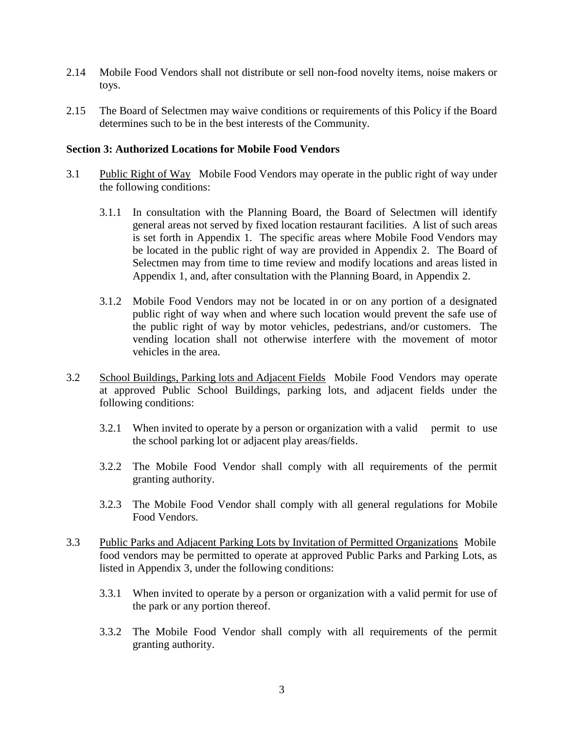- 2.14 Mobile Food Vendors shall not distribute or sell non-food novelty items, noise makers or toys.
- 2.15 The Board of Selectmen may waive conditions or requirements of this Policy if the Board determines such to be in the best interests of the Community.

### **Section 3: Authorized Locations for Mobile Food Vendors**

- 3.1 Public Right of Way Mobile Food Vendors may operate in the public right of way under the following conditions:
	- 3.1.1 In consultation with the Planning Board, the Board of Selectmen will identify general areas not served by fixed location restaurant facilities. A list of such areas is set forth in Appendix 1. The specific areas where Mobile Food Vendors may be located in the public right of way are provided in Appendix 2. The Board of Selectmen may from time to time review and modify locations and areas listed in Appendix 1, and, after consultation with the Planning Board, in Appendix 2.
	- 3.1.2 Mobile Food Vendors may not be located in or on any portion of a designated public right of way when and where such location would prevent the safe use of the public right of way by motor vehicles, pedestrians, and/or customers. The vending location shall not otherwise interfere with the movement of motor vehicles in the area.
- 3.2 School Buildings, Parking lots and Adjacent Fields Mobile Food Vendors may operate at approved Public School Buildings, parking lots, and adjacent fields under the following conditions:
	- 3.2.1 When invited to operate by a person or organization with a valid permit to use the school parking lot or adjacent play areas/fields.
	- 3.2.2 The Mobile Food Vendor shall comply with all requirements of the permit granting authority.
	- 3.2.3 The Mobile Food Vendor shall comply with all general regulations for Mobile Food Vendors.
- 3.3 Public Parks and Adjacent Parking Lots by Invitation of Permitted Organizations Mobile food vendors may be permitted to operate at approved Public Parks and Parking Lots, as listed in Appendix 3, under the following conditions:
	- 3.3.1 When invited to operate by a person or organization with a valid permit for use of the park or any portion thereof.
	- 3.3.2 The Mobile Food Vendor shall comply with all requirements of the permit granting authority.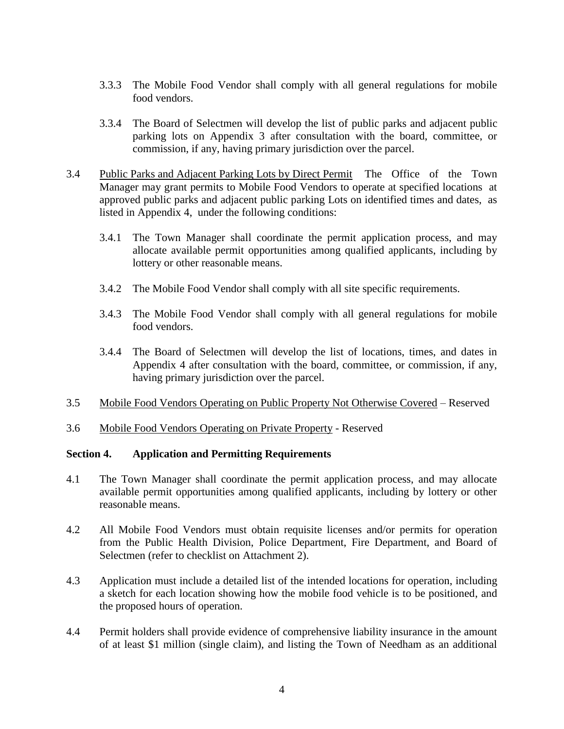- 3.3.3 The Mobile Food Vendor shall comply with all general regulations for mobile food vendors.
- 3.3.4 The Board of Selectmen will develop the list of public parks and adjacent public parking lots on Appendix 3 after consultation with the board, committee, or commission, if any, having primary jurisdiction over the parcel.
- 3.4 Public Parks and Adjacent Parking Lots by Direct Permit The Office of the Town Manager may grant permits to Mobile Food Vendors to operate at specified locations at approved public parks and adjacent public parking Lots on identified times and dates, as listed in Appendix 4, under the following conditions:
	- 3.4.1 The Town Manager shall coordinate the permit application process, and may allocate available permit opportunities among qualified applicants, including by lottery or other reasonable means.
	- 3.4.2 The Mobile Food Vendor shall comply with all site specific requirements.
	- 3.4.3 The Mobile Food Vendor shall comply with all general regulations for mobile food vendors.
	- 3.4.4 The Board of Selectmen will develop the list of locations, times, and dates in Appendix 4 after consultation with the board, committee, or commission, if any, having primary jurisdiction over the parcel.
- 3.5 Mobile Food Vendors Operating on Public Property Not Otherwise Covered Reserved
- 3.6 Mobile Food Vendors Operating on Private Property Reserved

#### **Section 4. Application and Permitting Requirements**

- 4.1 The Town Manager shall coordinate the permit application process, and may allocate available permit opportunities among qualified applicants, including by lottery or other reasonable means.
- 4.2 All Mobile Food Vendors must obtain requisite licenses and/or permits for operation from the Public Health Division, Police Department, Fire Department, and Board of Selectmen (refer to checklist on Attachment 2).
- 4.3 Application must include a detailed list of the intended locations for operation, including a sketch for each location showing how the mobile food vehicle is to be positioned, and the proposed hours of operation.
- 4.4 Permit holders shall provide evidence of comprehensive liability insurance in the amount of at least \$1 million (single claim), and listing the Town of Needham as an additional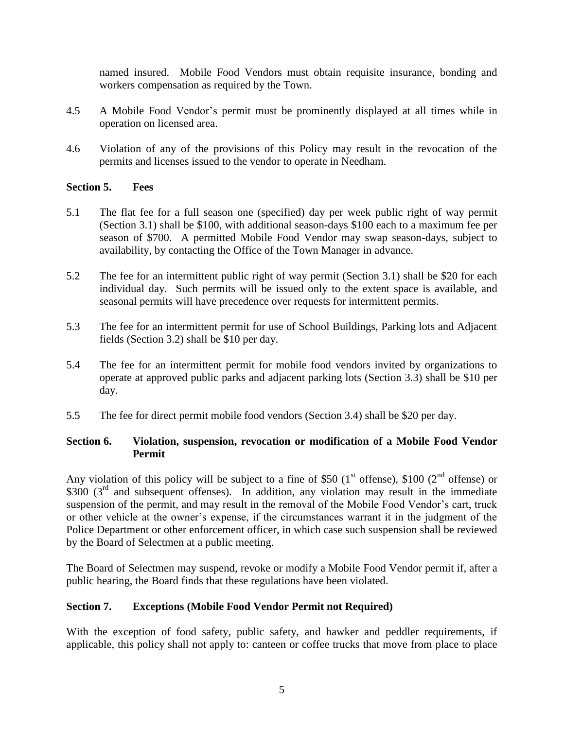named insured. Mobile Food Vendors must obtain requisite insurance, bonding and workers compensation as required by the Town.

- 4.5 A Mobile Food Vendor's permit must be prominently displayed at all times while in operation on licensed area.
- 4.6 Violation of any of the provisions of this Policy may result in the revocation of the permits and licenses issued to the vendor to operate in Needham.

# **Section 5. Fees**

- 5.1 The flat fee for a full season one (specified) day per week public right of way permit (Section 3.1) shall be \$100, with additional season-days \$100 each to a maximum fee per season of \$700. A permitted Mobile Food Vendor may swap season-days, subject to availability, by contacting the Office of the Town Manager in advance.
- 5.2 The fee for an intermittent public right of way permit (Section 3.1) shall be \$20 for each individual day. Such permits will be issued only to the extent space is available, and seasonal permits will have precedence over requests for intermittent permits.
- 5.3 The fee for an intermittent permit for use of School Buildings, Parking lots and Adjacent fields (Section 3.2) shall be \$10 per day.
- 5.4 The fee for an intermittent permit for mobile food vendors invited by organizations to operate at approved public parks and adjacent parking lots (Section 3.3) shall be \$10 per day.
- 5.5 The fee for direct permit mobile food vendors (Section 3.4) shall be \$20 per day.

# **Section 6. Violation, suspension, revocation or modification of a Mobile Food Vendor Permit**

Any violation of this policy will be subject to a fine of \$50 (1<sup>st</sup> offense), \$100 (2<sup>nd</sup> offense) or \$300 (3<sup>rd</sup> and subsequent offenses). In addition, any violation may result in the immediate suspension of the permit, and may result in the removal of the Mobile Food Vendor's cart, truck or other vehicle at the owner's expense, if the circumstances warrant it in the judgment of the Police Department or other enforcement officer, in which case such suspension shall be reviewed by the Board of Selectmen at a public meeting.

The Board of Selectmen may suspend, revoke or modify a Mobile Food Vendor permit if, after a public hearing, the Board finds that these regulations have been violated.

### **Section 7. Exceptions (Mobile Food Vendor Permit not Required)**

With the exception of food safety, public safety, and hawker and peddler requirements, if applicable, this policy shall not apply to: canteen or coffee trucks that move from place to place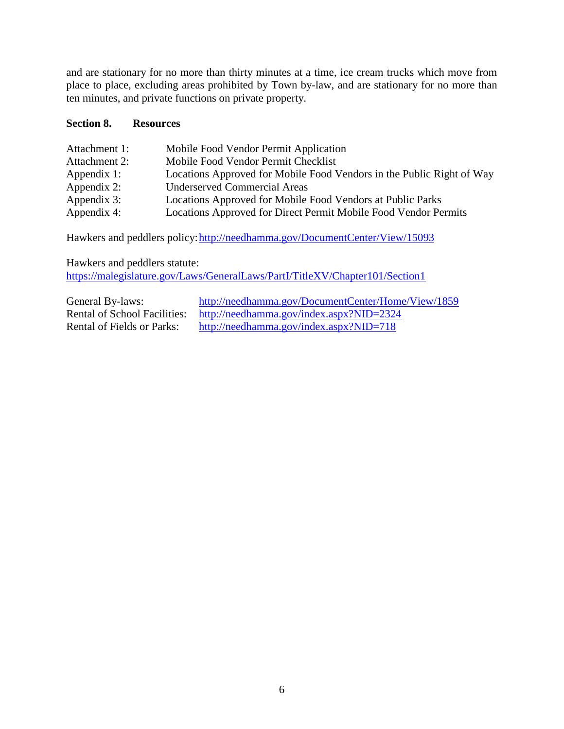and are stationary for no more than thirty minutes at a time, ice cream trucks which move from place to place, excluding areas prohibited by Town by-law, and are stationary for no more than ten minutes, and private functions on private property.

### **Section 8. Resources**

| Attachment 1: | Mobile Food Vendor Permit Application                                 |
|---------------|-----------------------------------------------------------------------|
| Attachment 2: | Mobile Food Vendor Permit Checklist                                   |
| Appendix 1:   | Locations Approved for Mobile Food Vendors in the Public Right of Way |
| Appendix 2:   | <b>Underserved Commercial Areas</b>                                   |
| Appendix 3:   | Locations Approved for Mobile Food Vendors at Public Parks            |
| Appendix 4:   | Locations Approved for Direct Permit Mobile Food Vendor Permits       |

Hawkers and peddlers policy: http://needhamma.gov/DocumentCenter/View/15093

Hawkers and peddlers statute: <https://malegislature.gov/Laws/GeneralLaws/PartI/TitleXV/Chapter101/Section1>

General By-laws: <http://needhamma.gov/DocumentCenter/Home/View/1859> Rental of School Facilities: <http://needhamma.gov/index.aspx?NID=2324><br>Rental of Fields or Parks: http://needhamma.gov/index.aspx?NID=718 <http://needhamma.gov/index.aspx?NID=718>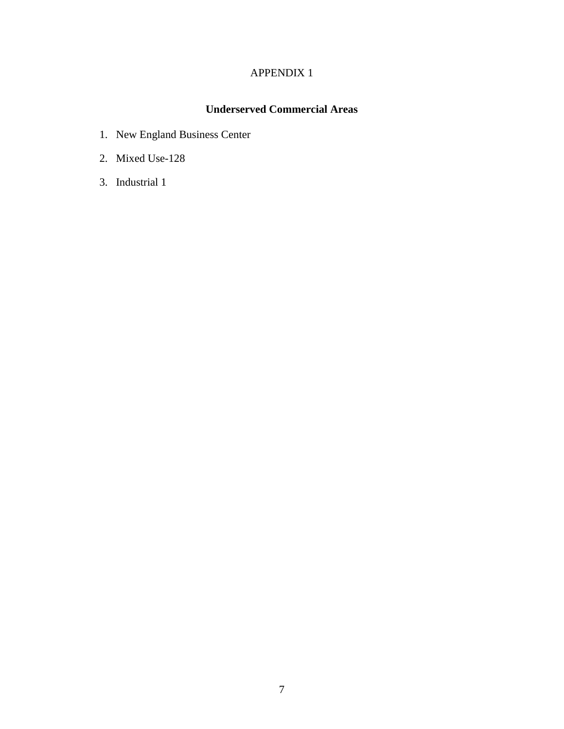# **Underserved Commercial Areas**

- 1. New England Business Center
- 2. Mixed Use-128
- 3. Industrial 1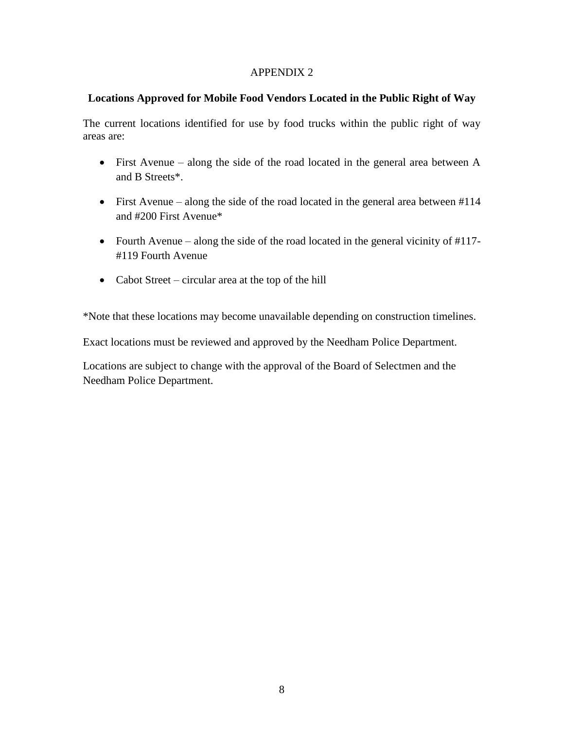### **Locations Approved for Mobile Food Vendors Located in the Public Right of Way**

The current locations identified for use by food trucks within the public right of way areas are:

- First Avenue along the side of the road located in the general area between A and B Streets\*.
- First Avenue along the side of the road located in the general area between #114 and #200 First Avenue\*
- Fourth Avenue along the side of the road located in the general vicinity of #117- #119 Fourth Avenue
- Cabot Street circular area at the top of the hill

\*Note that these locations may become unavailable depending on construction timelines.

Exact locations must be reviewed and approved by the Needham Police Department.

Locations are subject to change with the approval of the Board of Selectmen and the Needham Police Department.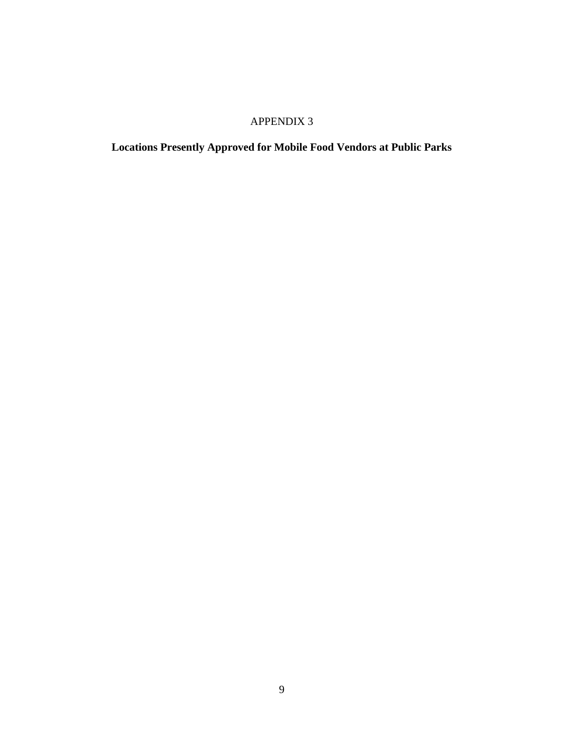**Locations Presently Approved for Mobile Food Vendors at Public Parks**